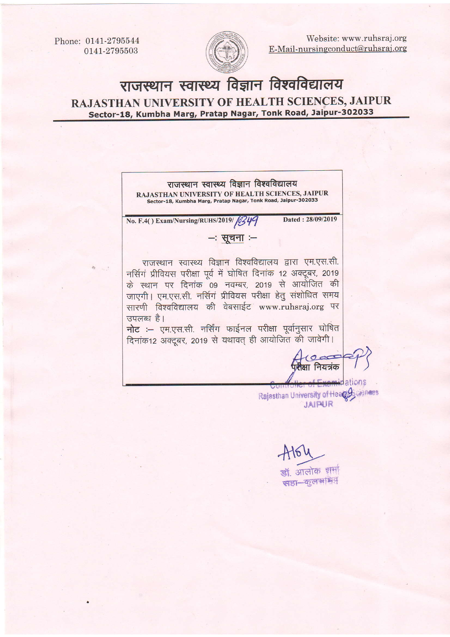Phone: 0141-2795544 0141-2795503



Website: www.ruhsraj.org E-Mail-nursingconduct@ruhsraj.org

## <mark>राजस्थान स्वास्थ्य विज्ञान</mark> RAJASTHAN UNIVERSITY OF HEALTH SCIENCES, JAIPUR Sector-18, Kumbha Marg, Pratap Nagar, Tonk Road, Jaipur-302033

राजस्थान स्वास्थ्य विज्ञान विश्वविद्यालय RAJASTHAN UNIVERSITY OF HEALTH SCIENCES, JAIPUR Sector-18, Kumbha Marg, Pratap Nagat, Tonk Road, Jaipur-3o2o33 Dated: 28/09/2019 No. F.4() Exam/Nursing/RUHS/2019/ 6349  $-$ : सूचना $-$ राजस्थान स्वास्थ्य विज्ञान विश्वविद्यालय द्वारा एम.एस.सी. नर्सिगं प्रीवियस परीक्षा पूर्व में घोषित दिनांक 12 अक्टूबर, 2019 के स्थान पर दिनांक 09 नवम्बर, 2019 से आयोजित की जाएगी। एम.एस.सी. नर्सिगं प्रीवियस परीक्षा हेतु संशोधित समय सारणी विश्वविद्यालय की वेबसाईट www.ruhsraj.org पर उपलब्ध $\overrightarrow{g}$ ।  $\overline{\mathbf{h}}$ ट :- एम.एस.सी. नर्सिंग फाईनल परीक्षा पूर्वानुसार घोषित दिनांक12 अक्टूबर, 2019 से यथावत् ही आयोजित की जावेगी। क्षा नियत्रंक **ainations** Rajasthan University of Heages Ciences JAIPUR

 $A164$ 

. आलोक **भा**नी सहा-कुलभाग्नेम